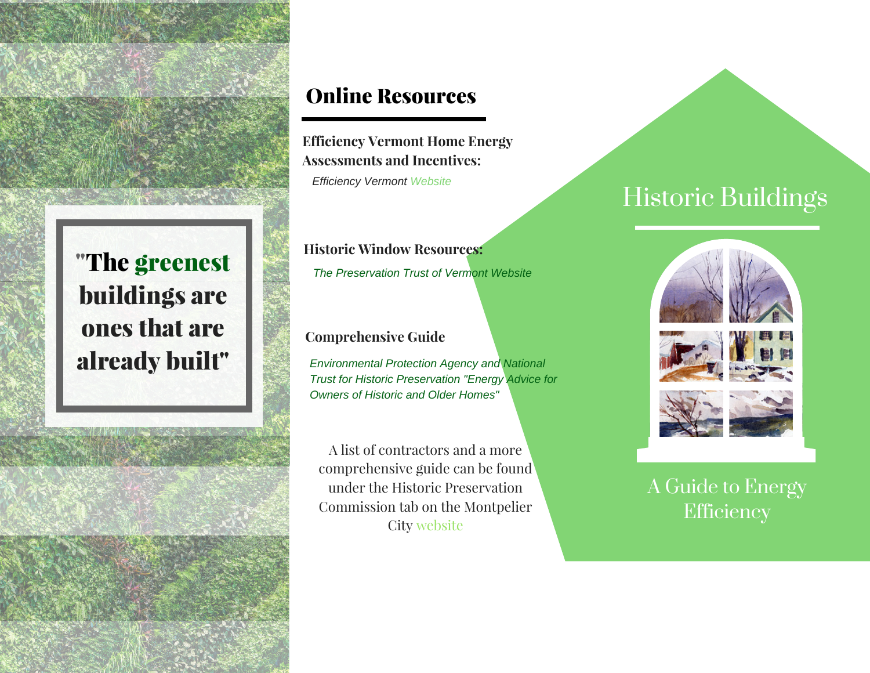

## Online Resources

*Efficiency Vermont Website* **Efficiency Vermont Home Energy A[ssessments](https://www.efficiencyvermont.com/) and Incentives:**

**Historic Window Resources:** *The [Preservation](http://www.ptvermont.org/help/getting_started.php) Trust of Vermont Website*

#### **Comprehensive Guide**

*[Environmental](https://archive.epa.gov/region5/sustainable/web/pdf/energy-advice-for-owners-of-older-homes.pdf) Protection Agency and National Trust for Historic Preservation "Energy Advice for Owners of Historic and Older Homes"*

A list of contractors and a more [comprehensive](http://www.montpelier-vt.org/914/Resources-for-Energy-Efficiency) guide can be found under the Historic Preservation Commission tab on the Montpelier City website

# Historic [Buildings](https://www.efficiencyvermont.com/services/energy-assessments/home-energy-assessments)









# A Guide to Energy **Efficiency**